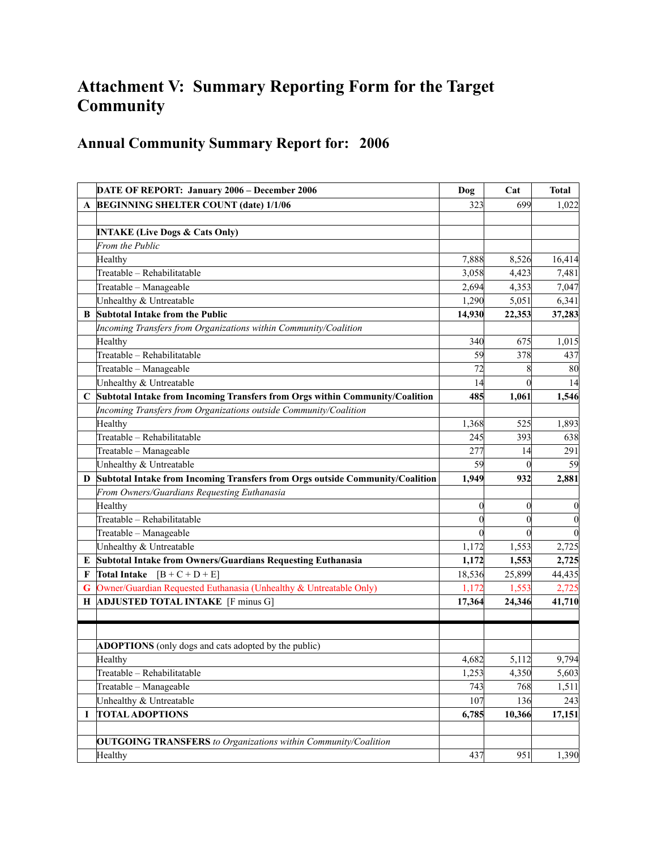## **Attachment V: Summary Reporting Form for the Target Community**

## **Annual Community Summary Report for: 2006**

|   | DATE OF REPORT: January 2006 - December 2006                                  | Dog              | Cat              | <b>Total</b>     |
|---|-------------------------------------------------------------------------------|------------------|------------------|------------------|
| A | <b>BEGINNING SHELTER COUNT (date) 1/1/06</b>                                  | 323              | 699              | 1,022            |
|   |                                                                               |                  |                  |                  |
|   | <b>INTAKE (Live Dogs &amp; Cats Only)</b>                                     |                  |                  |                  |
|   | From the Public                                                               |                  |                  |                  |
|   | Healthy                                                                       | 7,888            | 8,526            | 16,414           |
|   | Treatable - Rehabilitatable                                                   | 3,058            | 4,423            | 7,481            |
|   | Treatable - Manageable                                                        | 2,694            | 4,353            | 7,047            |
|   | Unhealthy & Untreatable                                                       | 1,290            | 5,051            | 6,341            |
| B | Subtotal Intake from the Public                                               | 14,930           | 22,353           | 37,283           |
|   | Incoming Transfers from Organizations within Community/Coalition              |                  |                  |                  |
|   | Healthy                                                                       | 340              | 675              | 1,015            |
|   | Treatable - Rehabilitatable                                                   | 59               | 378              | 437              |
|   | Treatable - Manageable                                                        | 72               | 8                | 80               |
|   | Unhealthy & Untreatable                                                       | 14               | $\theta$         | 14               |
| C | Subtotal Intake from Incoming Transfers from Orgs within Community/Coalition  | 485              | 1,061            | 1,546            |
|   | Incoming Transfers from Organizations outside Community/Coalition             |                  |                  |                  |
|   | Healthy                                                                       | 1,368            | 525              | 1,893            |
|   | Treatable - Rehabilitatable                                                   | 245              | 393              | 638              |
|   | Treatable - Manageable                                                        | 277              | 14               | 291              |
|   | Unhealthy & Untreatable                                                       | 59               | $\theta$         | 59               |
| D | Subtotal Intake from Incoming Transfers from Orgs outside Community/Coalition | 1,949            | 932              | 2,881            |
|   | From Owners/Guardians Requesting Euthanasia                                   |                  |                  |                  |
|   | Healthy                                                                       | $\boldsymbol{0}$ | $\boldsymbol{0}$ | $\boldsymbol{0}$ |
|   | Treatable - Rehabilitatable                                                   | $\boldsymbol{0}$ | $\theta$         | $\boldsymbol{0}$ |
|   | Treatable - Manageable                                                        | $\overline{0}$   | $\theta$         | $\overline{0}$   |
|   | Unhealthy & Untreatable                                                       | 1,172            | 1,553            | 2,725            |
| E | Subtotal Intake from Owners/Guardians Requesting Euthanasia                   | 1,172            | 1,553            | 2,725            |
| F | $[B+C+D+E]$<br><b>Total Intake</b>                                            | 18,536           | 25,899           | 44,435           |
| G | Owner/Guardian Requested Euthanasia (Unhealthy & Untreatable Only)            | 1,172            | 1,553            | 2,725            |
| Н | <b>ADJUSTED TOTAL INTAKE</b> [F minus G]                                      | 17,364           | 24,346           | 41,710           |
|   |                                                                               |                  |                  |                  |
|   |                                                                               |                  |                  |                  |
|   | ADOPTIONS (only dogs and cats adopted by the public)                          |                  |                  |                  |
|   | Healthy                                                                       | 4,682            | 5,112            | 9,794            |
|   | Treatable - Rehabilitatable                                                   | 1,253            | 4,350            | 5,603            |
|   | Treatable - Manageable                                                        | 743              | 768              | 1,511            |
|   | Unhealthy & Untreatable                                                       | 107              | 136              | 243              |
| I | <b>TOTAL ADOPTIONS</b>                                                        | 6,785            | 10,366           | 17,151           |
|   |                                                                               |                  |                  |                  |
|   | <b>OUTGOING TRANSFERS</b> to Organizations within Community/Coalition         |                  |                  |                  |
|   | Healthy                                                                       | 437              | 951              | 1,390            |
|   |                                                                               |                  |                  |                  |